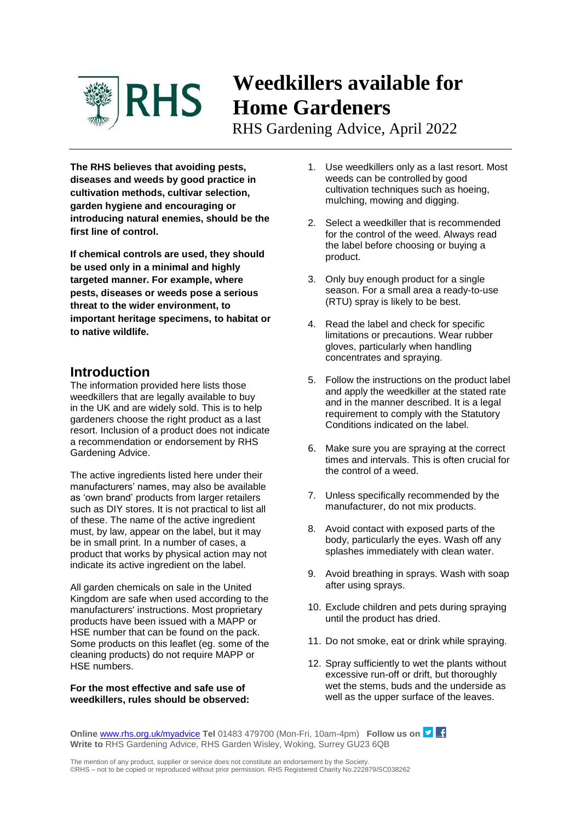

# **Weedkillers available for Home Gardeners**

RHS Gardening Advice, April 2022

**The RHS believes that avoiding pests, diseases and weeds by good practice in cultivation methods, cultivar selection, garden hygiene and encouraging or introducing natural enemies, should be the first line of control.** 

**If chemical controls are used, they should be used only in a minimal and highly targeted manner. For example, where pests, diseases or weeds pose a serious threat to the wider environment, to important heritage specimens, to habitat or to native wildlife.** 

# **Introduction**

The information provided here lists those weedkillers that are legally available to buy in the UK and are widely sold. This is to help gardeners choose the right product as a last resort. Inclusion of a product does not indicate a recommendation or endorsement by RHS Gardening Advice.

The active ingredients listed here under their manufacturers' names, may also be available as 'own brand' products from larger retailers such as DIY stores. It is not practical to list all of these. The name of the active ingredient must, by law, appear on the label, but it may be in small print. In a number of cases, a product that works by physical action may not indicate its active ingredient on the label.

All garden chemicals on sale in the United Kingdom are safe when used according to the manufacturers' instructions. Most proprietary products have been issued with a MAPP or HSE number that can be found on the pack. Some products on this leaflet (eg. some of the cleaning products) do not require MAPP or HSE numbers.

**For the most effective and safe use of weedkillers, rules should be observed:**

- 1. Use weedkillers only as a last resort. Most weeds can be controlled by good cultivation techniques such as hoeing, mulching, mowing and digging.
- 2. Select a weedkiller that is recommended for the control of the weed. Always read the label before choosing or buying a product.
- 3. Only buy enough product for a single season. For a small area a ready-to-use (RTU) spray is likely to be best.
- 4. Read the label and check for specific limitations or precautions. Wear rubber gloves, particularly when handling concentrates and spraying.
- 5. Follow the instructions on the product label and apply the weedkiller at the stated rate and in the manner described. It is a legal requirement to comply with the Statutory Conditions indicated on the label.
- 6. Make sure you are spraying at the correct times and intervals. This is often crucial for the control of a weed.
- 7. Unless specifically recommended by the manufacturer, do not mix products.
- 8. Avoid contact with exposed parts of the body, particularly the eyes. Wash off any splashes immediately with clean water.
- 9. Avoid breathing in sprays. Wash with soap after using sprays.
- 10. Exclude children and pets during spraying until the product has dried.
- 11. Do not smoke, eat or drink while spraying.
- 12. Spray sufficiently to wet the plants without excessive run-off or drift, but thoroughly wet the stems, buds and the underside as well as the upper surface of the leaves.

**Online [www.rhs.org.uk/myadvice](http://www.rhs.org.uk/myadvice) Tel** 01483 479700 (Mon-Fri, 10am-4pm) **Follow us on Write to** RHS Gardening Advice, RHS Garden Wisley, Woking, Surrey GU23 6QB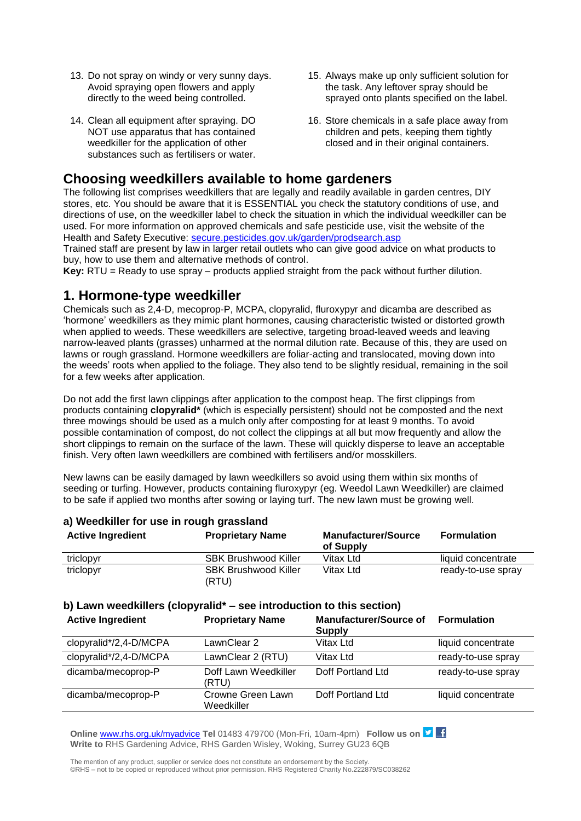- 13. Do not spray on windy or very sunny days. Avoid spraying open flowers and apply directly to the weed being controlled.
- 14. Clean all equipment after spraying. DO NOT use apparatus that has contained weedkiller for the application of other substances such as fertilisers or water.
- 15. Always make up only sufficient solution for the task. Any leftover spray should be sprayed onto plants specified on the label.
- 16. Store chemicals in a safe place away from children and pets, keeping them tightly closed and in their original containers.

# **Choosing weedkillers available to home gardeners**

The following list comprises weedkillers that are legally and readily available in garden centres, DIY stores, etc. You should be aware that it is ESSENTIAL you check the statutory conditions of use, and directions of use, on the weedkiller label to check the situation in which the individual weedkiller can be used. For more information on approved chemicals and safe pesticide use, visit the website of the Health and Safety Executive: [secure.pesticides.gov.uk/garden/prodsearch.asp](https://secure.pesticides.gov.uk/garden/prodsearch.asp)

Trained staff are present by law in larger retail outlets who can give good advice on what products to buy, how to use them and alternative methods of control.

**Key:** RTU = Ready to use spray – products applied straight from the pack without further dilution.

### **1. Hormone-type weedkiller**

Chemicals such as 2,4-D, mecoprop-P, MCPA, clopyralid, fluroxypyr and dicamba are described as 'hormone' weedkillers as they mimic plant hormones, causing characteristic twisted or distorted growth when applied to weeds. These weedkillers are selective, targeting broad-leaved weeds and leaving narrow-leaved plants (grasses) unharmed at the normal dilution rate. Because of this, they are used on lawns or rough grassland. Hormone weedkillers are foliar-acting and translocated, moving down into the weeds' roots when applied to the foliage. They also tend to be slightly residual, remaining in the soil for a few weeks after application.

Do not add the first lawn clippings after application to the compost heap. The first clippings from products containing **clopyralid\*** (which is especially persistent) should not be composted and the next three mowings should be used as a mulch only after composting for at least 9 months. To avoid possible contamination of compost, do not collect the clippings at all but mow frequently and allow the short clippings to remain on the surface of the lawn. These will quickly disperse to leave an acceptable finish. Very often lawn weedkillers are combined with fertilisers and/or mosskillers.

New lawns can be easily damaged by lawn weedkillers so avoid using them within six months of seeding or turfing. However, products containing fluroxypyr (eg. Weedol Lawn Weedkiller) are claimed to be safe if applied two months after sowing or laying turf. The new lawn must be growing well.

| <b>Active Ingredient</b> | <b>Proprietary Name</b>              | <b>Manufacturer/Source</b><br>of Supply | <b>Formulation</b> |
|--------------------------|--------------------------------------|-----------------------------------------|--------------------|
| triclopyr                | <b>SBK Brushwood Killer</b>          | Vitax Ltd                               | liquid concentrate |
| triclopyr                | <b>SBK Brushwood Killer</b><br>(RTU) | Vitax Ltd                               | ready-to-use spray |

#### **a) Weedkiller for use in rough grassland**

## **b) Lawn weedkillers (clopyralid\* – see introduction to this section)**

| <b>Active Ingredient</b> | <b>Proprietary Name</b>         | <b>Manufacturer/Source of</b><br><b>Supply</b> | <b>Formulation</b> |
|--------------------------|---------------------------------|------------------------------------------------|--------------------|
| clopyralid*/2,4-D/MCPA   | LawnClear 2                     | Vitax Ltd                                      | liquid concentrate |
| clopyralid*/2,4-D/MCPA   | LawnClear 2 (RTU)               | Vitax Ltd                                      | ready-to-use spray |
| dicamba/mecoprop-P       | Doff Lawn Weedkiller<br>(RTU)   | Doff Portland Ltd                              | ready-to-use spray |
| dicamba/mecoprop-P       | Crowne Green Lawn<br>Weedkiller | Doff Portland Ltd                              | liquid concentrate |

**Online [www.rhs.org.uk/myadvice](http://www.rhs.org.uk/myadvice) Tel** 01483 479700 (Mon-Fri, 10am-4pm) **Follow us on Write to** RHS Gardening Advice, RHS Garden Wisley, Woking, Surrey GU23 6QB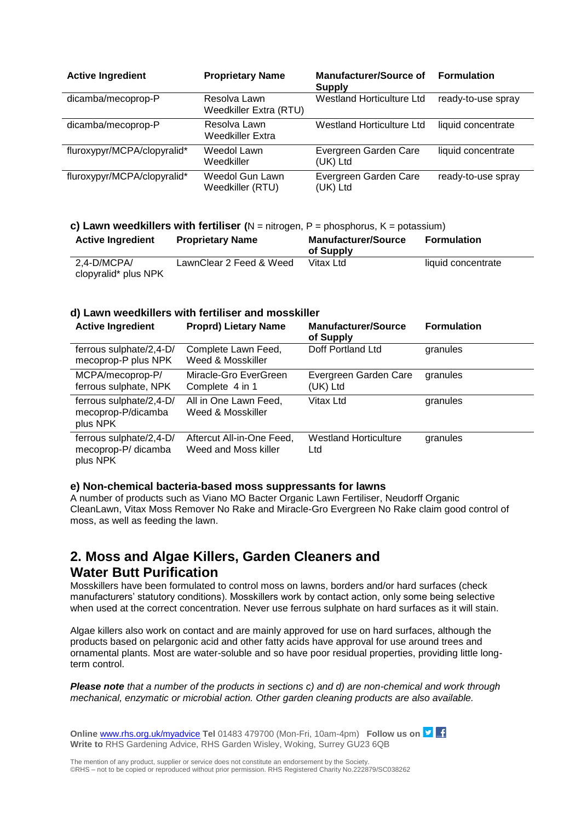| <b>Active Ingredient</b>    | <b>Proprietary Name</b>                | <b>Manufacturer/Source of</b><br><b>Supply</b> | <b>Formulation</b> |
|-----------------------------|----------------------------------------|------------------------------------------------|--------------------|
| dicamba/mecoprop-P          | Resolva Lawn<br>Weedkiller Extra (RTU) | <b>Westland Horticulture Ltd</b>               | ready-to-use spray |
| dicamba/mecoprop-P          | Resolva Lawn<br>Weedkiller Extra       | Westland Horticulture Ltd                      | liquid concentrate |
| fluroxypyr/MCPA/clopyralid* | Weedol Lawn<br>Weedkiller              | Evergreen Garden Care<br>(UK) Ltd              | liquid concentrate |
| fluroxypyr/MCPA/clopyralid* | Weedol Gun Lawn<br>Weedkiller (RTU)    | Evergreen Garden Care<br>(UK) Ltd              | ready-to-use spray |

#### **c) Lawn weedkillers with fertiliser**  $(N = nitrogen, P = phosphorus, K = potassium)$

| <b>Active Ingredient</b> | <b>Proprietary Name</b> | <b>Manufacturer/Source</b><br>of Supply | <b>Formulation</b> |
|--------------------------|-------------------------|-----------------------------------------|--------------------|
| 2,4-D/MCPA/              | LawnClear 2 Feed & Weed | Vitax Ltd                               | liquid concentrate |
| clopyralid* plus NPK     |                         |                                         |                    |

#### **d) Lawn weedkillers with fertiliser and mosskiller**

| <b>Active Ingredient</b>                                   | <b>Proprd) Lietary Name</b>                       | <b>Manufacturer/Source</b><br>of Supply | <b>Formulation</b> |
|------------------------------------------------------------|---------------------------------------------------|-----------------------------------------|--------------------|
| ferrous sulphate/2,4-D/<br>mecoprop-P plus NPK             | Complete Lawn Feed,<br>Weed & Mosskiller          | Doff Portland Ltd                       | granules           |
| MCPA/mecoprop-P/<br>ferrous sulphate, NPK                  | Miracle-Gro EverGreen<br>Complete 4 in 1          | Evergreen Garden Care<br>(UK) Ltd       | granules           |
| ferrous sulphate/2,4-D/<br>mecoprop-P/dicamba<br>plus NPK  | All in One Lawn Feed,<br>Weed & Mosskiller        | Vitax Ltd                               | granules           |
| ferrous sulphate/2,4-D/<br>mecoprop-P/ dicamba<br>plus NPK | Aftercut All-in-One Feed,<br>Weed and Moss killer | <b>Westland Horticulture</b><br>Ltd     | granules           |

#### **e) Non-chemical bacteria-based moss suppressants for lawns**

A number of products such as Viano MO Bacter Organic Lawn Fertiliser, Neudorff Organic CleanLawn, Vitax Moss Remover No Rake and Miracle-Gro Evergreen No Rake claim good control of moss, as well as feeding the lawn.

# **2. Moss and Algae Killers, Garden Cleaners and Water Butt Purification**

Mosskillers have been formulated to control moss on lawns, borders and/or hard surfaces (check manufacturers' statutory conditions). Mosskillers work by contact action, only some being selective when used at the correct concentration. Never use ferrous sulphate on hard surfaces as it will stain.

Algae killers also work on contact and are mainly approved for use on hard surfaces, although the products based on pelargonic acid and other fatty acids have approval for use around trees and ornamental plants. Most are water-soluble and so have poor residual properties, providing little longterm control.

*Please note that a number of the products in sections c) and d) are non-chemical and work through mechanical, enzymatic or microbial action. Other garden cleaning products are also available.*

**Online [www.rhs.org.uk/myadvice](http://www.rhs.org.uk/myadvice) Tel** 01483 479700 (Mon-Fri, 10am-4pm) **Follow us on Write to** RHS Gardening Advice, RHS Garden Wisley, Woking, Surrey GU23 6QB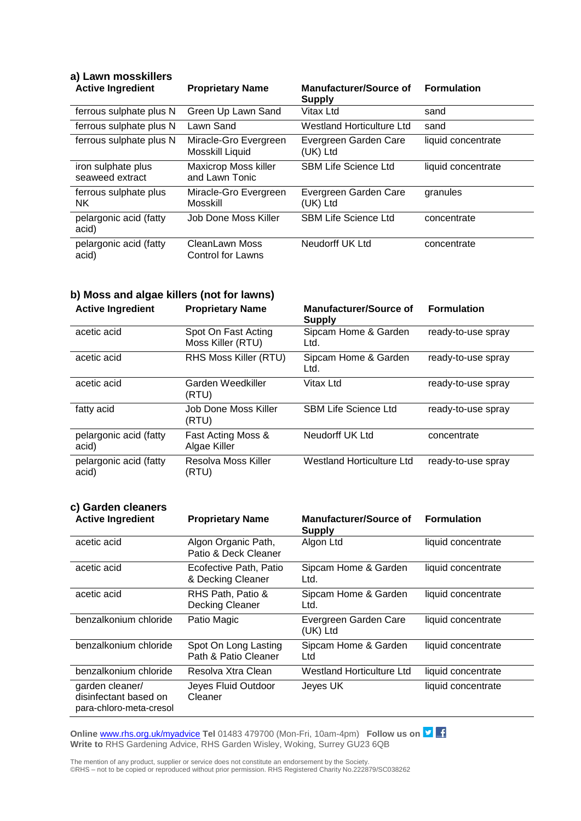| u, Lu………………………                        |                                               |                                         |                    |
|---------------------------------------|-----------------------------------------------|-----------------------------------------|--------------------|
| <b>Active Ingredient</b>              | <b>Proprietary Name</b>                       | Manufacturer/Source of<br><b>Supply</b> | <b>Formulation</b> |
| ferrous sulphate plus N               | Green Up Lawn Sand                            | Vitax Ltd                               | sand               |
| ferrous sulphate plus N               | Lawn Sand                                     | <b>Westland Horticulture Ltd</b>        | sand               |
| ferrous sulphate plus N               | Miracle-Gro Evergreen<br>Mosskill Liquid      | Evergreen Garden Care<br>(UK) Ltd       | liquid concentrate |
| iron sulphate plus<br>seaweed extract | <b>Maxicrop Moss killer</b><br>and Lawn Tonic | <b>SBM Life Science Ltd</b>             | liquid concentrate |
| ferrous sulphate plus<br><b>NK</b>    | Miracle-Gro Evergreen<br>Mosskill             | Evergreen Garden Care<br>(UK) Ltd       | granules           |
| pelargonic acid (fatty<br>acid)       | Job Done Moss Killer                          | <b>SBM Life Science Ltd</b>             | concentrate        |
| pelargonic acid (fatty<br>acid)       | CleanLawn Moss<br><b>Control for Lawns</b>    | Neudorff UK Ltd                         | concentrate        |

# **a) Lawn mosskillers**

# **b) Moss and algae killers (not for lawns)**

| <b>Active Ingredient</b>        | <b>Proprietary Name</b>                  | <b>Manufacturer/Source of</b><br>Supply | <b>Formulation</b> |
|---------------------------------|------------------------------------------|-----------------------------------------|--------------------|
| acetic acid                     | Spot On Fast Acting<br>Moss Killer (RTU) | Sipcam Home & Garden<br>Ltd.            | ready-to-use spray |
| acetic acid                     | RHS Moss Killer (RTU)                    | Sipcam Home & Garden<br>Ltd.            | ready-to-use spray |
| acetic acid                     | Garden Weedkiller<br>(RTU)               | Vitax Ltd                               | ready-to-use spray |
| fatty acid                      | Job Done Moss Killer<br>(RTU)            | <b>SBM Life Science Ltd</b>             | ready-to-use spray |
| pelargonic acid (fatty<br>acid) | Fast Acting Moss &<br>Algae Killer       | Neudorff UK Ltd                         | concentrate        |
| pelargonic acid (fatty<br>acid) | Resolva Moss Killer<br>(RTU)             | Westland Horticulture Ltd               | ready-to-use spray |

### **c) Garden cleaners**

| <b>Active Ingredient</b>                                            | <b>Proprietary Name</b>                      | <b>Manufacturer/Source of</b><br><b>Supply</b> | <b>Formulation</b> |
|---------------------------------------------------------------------|----------------------------------------------|------------------------------------------------|--------------------|
| acetic acid                                                         | Algon Organic Path,<br>Patio & Deck Cleaner  | Algon Ltd                                      | liquid concentrate |
| acetic acid                                                         | Ecofective Path, Patio<br>& Decking Cleaner  | Sipcam Home & Garden<br>Ltd.                   | liquid concentrate |
| acetic acid                                                         | RHS Path, Patio &<br>Decking Cleaner         | Sipcam Home & Garden<br>Ltd.                   | liquid concentrate |
| benzalkonium chloride                                               | Patio Magic                                  | Evergreen Garden Care<br>(UK) Ltd              | liquid concentrate |
| benzalkonium chloride                                               | Spot On Long Lasting<br>Path & Patio Cleaner | Sipcam Home & Garden<br>Ltd                    | liquid concentrate |
| benzalkonium chloride                                               | Resolva Xtra Clean                           | Westland Horticulture Ltd                      | liquid concentrate |
| garden cleaner/<br>disinfectant based on<br>para-chloro-meta-cresol | Jeyes Fluid Outdoor<br>Cleaner               | Jeyes UK                                       | liquid concentrate |

**Online** [www.rhs.org.uk/myadvice](http://www.rhs.org.uk/myadvice) **Tel** 01483 479700 (Mon-Fri, 10am-4pm) **Follow us on Write to** RHS Gardening Advice, RHS Garden Wisley, Woking, Surrey GU23 6QB

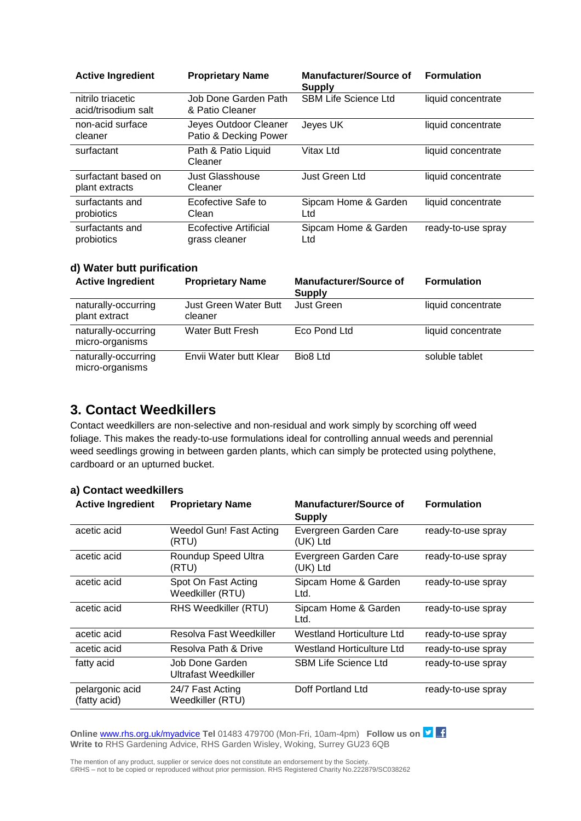| <b>Active Ingredient</b>                 | <b>Proprietary Name</b>                        | <b>Manufacturer/Source of</b><br>Supply | <b>Formulation</b> |
|------------------------------------------|------------------------------------------------|-----------------------------------------|--------------------|
| nitrilo triacetic<br>acid/trisodium salt | Job Done Garden Path<br>& Patio Cleaner        | <b>SBM Life Science Ltd</b>             | liquid concentrate |
| non-acid surface<br>cleaner              | Jeyes Outdoor Cleaner<br>Patio & Decking Power | Jeyes UK                                | liquid concentrate |
| surfactant                               | Path & Patio Liquid<br>Cleaner                 | Vitax Ltd                               | liquid concentrate |
| surfactant based on<br>plant extracts    | Just Glasshouse<br>Cleaner                     | Just Green Ltd                          | liquid concentrate |
| surfactants and<br>probiotics            | Ecofective Safe to<br>Clean                    | Sipcam Home & Garden<br>Ltd             | liquid concentrate |
| surfactants and<br>probiotics            | <b>Ecofective Artificial</b><br>grass cleaner  | Sipcam Home & Garden<br>Ltd             | ready-to-use spray |

#### **d) Water butt purification**

| <b>Active Ingredient</b>               | <b>Proprietary Name</b>          | <b>Manufacturer/Source of</b><br><b>Supply</b> | <b>Formulation</b> |
|----------------------------------------|----------------------------------|------------------------------------------------|--------------------|
| naturally-occurring<br>plant extract   | Just Green Water Butt<br>cleaner | Just Green                                     | liquid concentrate |
| naturally-occurring<br>micro-organisms | <b>Water Butt Fresh</b>          | Eco Pond Ltd                                   | liquid concentrate |
| naturally-occurring<br>micro-organisms | Envii Water butt Klear           | Bio <sub>8</sub> Ltd                           | soluble tablet     |

# **3. Contact Weedkillers**

Contact weedkillers are non-selective and non-residual and work simply by scorching off weed foliage. This makes the ready-to-use formulations ideal for controlling annual weeds and perennial weed seedlings growing in between garden plants, which can simply be protected using polythene, cardboard or an upturned bucket.

| <b>Active Ingredient</b>        | <b>Proprietary Name</b>                 | <b>Manufacturer/Source of</b><br><b>Supply</b> | <b>Formulation</b> |
|---------------------------------|-----------------------------------------|------------------------------------------------|--------------------|
| acetic acid                     | Weedol Gun! Fast Acting<br>(RTU)        | Evergreen Garden Care<br>(UK) Ltd              | ready-to-use spray |
| acetic acid                     | Roundup Speed Ultra<br>(RTU)            | Evergreen Garden Care<br>(UK) Ltd              | ready-to-use spray |
| acetic acid                     | Spot On Fast Acting<br>Weedkiller (RTU) | Sipcam Home & Garden<br>Ltd.                   | ready-to-use spray |
| acetic acid                     | RHS Weedkiller (RTU)                    | Sipcam Home & Garden<br>Ltd.                   | ready-to-use spray |
| acetic acid                     | Resolva Fast Weedkiller                 | Westland Horticulture Ltd                      | ready-to-use spray |
| acetic acid                     | Resolva Path & Drive                    | Westland Horticulture Ltd                      | ready-to-use spray |
| fatty acid                      | Job Done Garden<br>Ultrafast Weedkiller | <b>SBM Life Science Ltd</b>                    | ready-to-use spray |
| pelargonic acid<br>(fatty acid) | 24/7 Fast Acting<br>Weedkiller (RTU)    | Doff Portland Ltd                              | ready-to-use spray |

#### **a) Contact weedkillers**

**Online** [www.rhs.org.uk/myadvice](http://www.rhs.org.uk/myadvice) Tel 01483 479700 (Mon-Fri, 10am-4pm) **Follow us on Write to** RHS Gardening Advice, RHS Garden Wisley, Woking, Surrey GU23 6QB

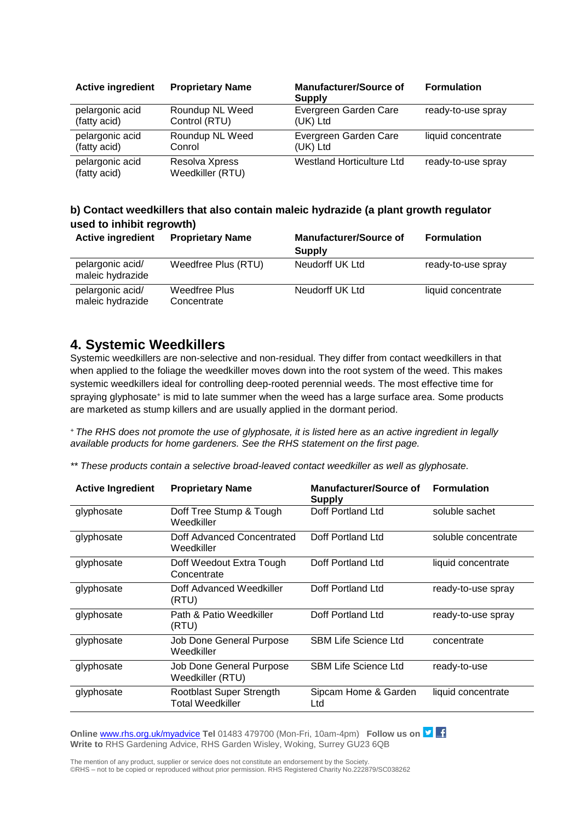| <b>Active ingredient</b>        | <b>Proprietary Name</b>            | <b>Manufacturer/Source of</b><br><b>Supply</b> | <b>Formulation</b> |
|---------------------------------|------------------------------------|------------------------------------------------|--------------------|
| pelargonic acid                 | Roundup NL Weed                    | Evergreen Garden Care                          | ready-to-use spray |
| (fatty acid)                    | Control (RTU)                      | (UK) Ltd                                       |                    |
| pelargonic acid                 | Roundup NL Weed                    | Evergreen Garden Care                          | liquid concentrate |
| (fatty acid)                    | Conrol                             | (UK) Ltd                                       |                    |
| pelargonic acid<br>(fatty acid) | Resolva Xpress<br>Weedkiller (RTU) | <b>Westland Horticulture Ltd</b>               | ready-to-use spray |

#### **b) Contact weedkillers that also contain maleic hydrazide (a plant growth regulator used to inhibit regrowth)**

| <b>Active ingredient</b>             | <b>Proprietary Name</b>      | <b>Manufacturer/Source of</b><br><b>Supply</b> | <b>Formulation</b> |
|--------------------------------------|------------------------------|------------------------------------------------|--------------------|
| pelargonic acid/<br>maleic hydrazide | Weedfree Plus (RTU)          | Neudorff UK Ltd                                | ready-to-use spray |
| pelargonic acid/<br>maleic hydrazide | Weedfree Plus<br>Concentrate | Neudorff UK Ltd                                | liquid concentrate |

# **4. Systemic Weedkillers**

Systemic weedkillers are non-selective and non-residual. They differ from contact weedkillers in that when applied to the foliage the weedkiller moves down into the root system of the weed. This makes systemic weedkillers ideal for controlling deep-rooted perennial weeds. The most effective time for spraying glyphosate<sup>+</sup> is mid to late summer when the weed has a large surface area. Some products are marketed as stump killers and are usually applied in the dormant period.

*<sup>+</sup> The RHS does not promote the use of glyphosate, it is listed here as an active ingredient in legally available products for home gardeners. See the RHS statement on the first page.*

*\*\* These products contain a selective broad-leaved contact weedkiller as well as glyphosate.*

| <b>Active Ingredient</b> | <b>Proprietary Name</b>                             | <b>Manufacturer/Source of</b><br><b>Supply</b> | <b>Formulation</b>  |
|--------------------------|-----------------------------------------------------|------------------------------------------------|---------------------|
| glyphosate               | Doff Tree Stump & Tough<br>Weedkiller               | Doff Portland Ltd                              | soluble sachet      |
| glyphosate               | Doff Advanced Concentrated<br>Weedkiller            | Doff Portland Ltd                              | soluble concentrate |
| glyphosate               | Doff Weedout Extra Tough<br>Concentrate             | Doff Portland Ltd                              | liquid concentrate  |
| glyphosate               | Doff Advanced Weedkiller<br>(RTU)                   | Doff Portland Ltd                              | ready-to-use spray  |
| glyphosate               | Path & Patio Weedkiller<br>(RTU)                    | Doff Portland Ltd                              | ready-to-use spray  |
| glyphosate               | Job Done General Purpose<br>Weedkiller              | <b>SBM Life Science Ltd</b>                    | concentrate         |
| glyphosate               | Job Done General Purpose<br>Weedkiller (RTU)        | <b>SBM Life Science Ltd</b>                    | ready-to-use        |
| glyphosate               | Rootblast Super Strength<br><b>Total Weedkiller</b> | Sipcam Home & Garden<br>Ltd                    | liquid concentrate  |

**Online [www.rhs.org.uk/myadvice](http://www.rhs.org.uk/myadvice) Tel** 01483 479700 (Mon-Fri, 10am-4pm) **Follow us on Write to** RHS Gardening Advice, RHS Garden Wisley, Woking, Surrey GU23 6QB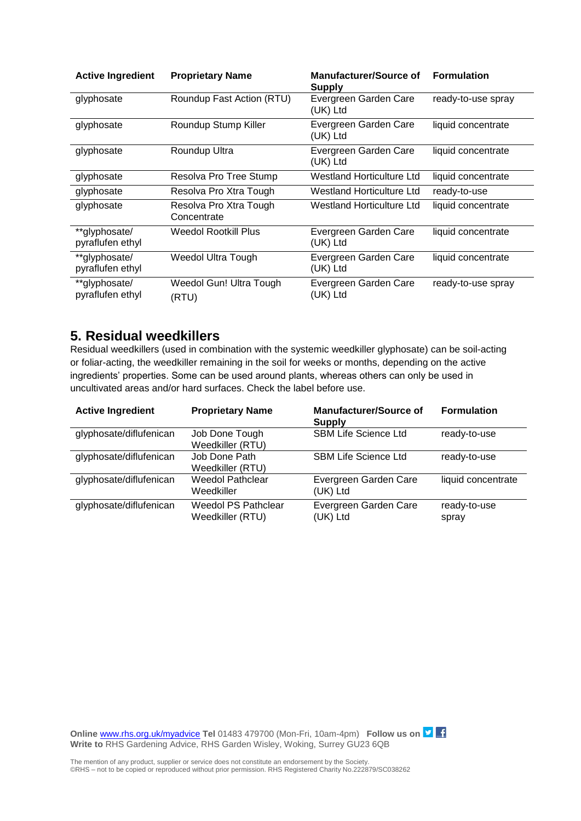| <b>Active Ingredient</b>          | <b>Proprietary Name</b>               | <b>Manufacturer/Source of</b><br><b>Supply</b> | <b>Formulation</b> |
|-----------------------------------|---------------------------------------|------------------------------------------------|--------------------|
| glyphosate                        | Roundup Fast Action (RTU)             | Evergreen Garden Care<br>(UK) Ltd              | ready-to-use spray |
| glyphosate                        | Roundup Stump Killer                  | Evergreen Garden Care<br>(UK) Ltd              | liquid concentrate |
| glyphosate                        | Roundup Ultra                         | Evergreen Garden Care<br>(UK) Ltd              | liquid concentrate |
| glyphosate                        | Resolva Pro Tree Stump                | Westland Horticulture Ltd                      | liquid concentrate |
| glyphosate                        | Resolva Pro Xtra Tough                | Westland Horticulture Ltd                      | ready-to-use       |
| glyphosate                        | Resolva Pro Xtra Tough<br>Concentrate | Westland Horticulture Ltd                      | liquid concentrate |
| **glyphosate/<br>pyraflufen ethyl | Weedol Rootkill Plus                  | Evergreen Garden Care<br>(UK) Ltd              | liquid concentrate |
| **glyphosate/<br>pyraflufen ethyl | Weedol Ultra Tough                    | Evergreen Garden Care<br>(UK) Ltd              | liquid concentrate |
| **glyphosate/<br>pyraflufen ethyl | Weedol Gun! Ultra Tough<br>(RTU)      | Evergreen Garden Care<br>(UK) Ltd              | ready-to-use spray |

# **5. Residual weedkillers**

Residual weedkillers (used in combination with the systemic weedkiller glyphosate) can be soil-acting or foliar-acting, the weedkiller remaining in the soil for weeks or months, depending on the active ingredients' properties. Some can be used around plants, whereas others can only be used in uncultivated areas and/or hard surfaces. Check the label before use.

| <b>Active Ingredient</b> | <b>Proprietary Name</b>                        | <b>Manufacturer/Source of</b><br><b>Supply</b> | <b>Formulation</b>    |
|--------------------------|------------------------------------------------|------------------------------------------------|-----------------------|
| glyphosate/diflufenican  | Job Done Tough<br>Weedkiller (RTU)             | <b>SBM Life Science Ltd</b>                    | ready-to-use          |
| glyphosate/diflufenican  | Job Done Path<br>Weedkiller (RTU)              | <b>SBM Life Science Ltd</b>                    | ready-to-use          |
| glyphosate/diflufenican  | <b>Weedol Pathclear</b><br>Weedkiller          | Evergreen Garden Care<br>(UK) Ltd              | liquid concentrate    |
| glyphosate/diflufenican  | <b>Weedol PS Pathclear</b><br>Weedkiller (RTU) | Evergreen Garden Care<br>(UK) Ltd              | ready-to-use<br>spray |

**Online** [www.rhs.org.uk/myadvice](http://www.rhs.org.uk/myadvice) **Tel** 01483 479700 (Mon-Fri, 10am-4pm) **Follow us on Write to** RHS Gardening Advice, RHS Garden Wisley, Woking, Surrey GU23 6QB